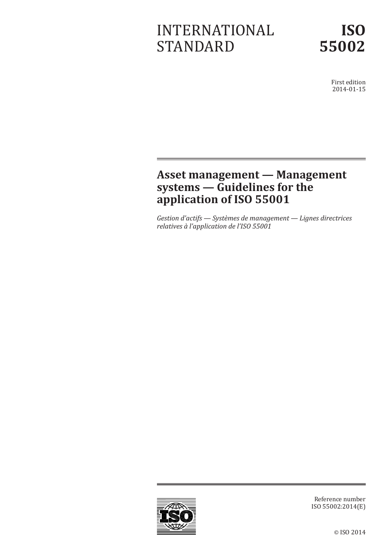# INTERNATIONAL STANDARD



First edition 2014-01-15

## **Asset management — Management systems — Guidelines for the application of ISO 55001**

*Gestion d'actifs — Systèmes de management — Lignes directrices relatives à l'application de l'ISO 55001*



Reference number ISO 55002:2014(E)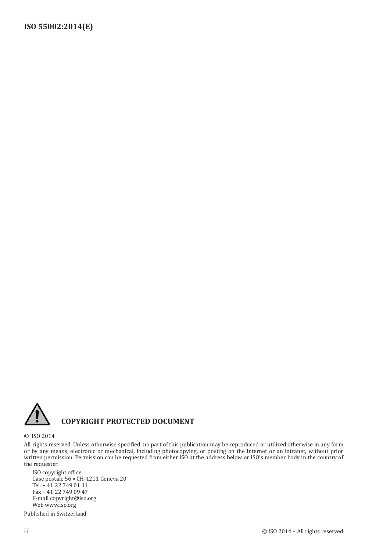

#### **COPYRIGHT PROTECTED DOCUMENT**

© ISO 2014

All rights reserved. Unless otherwise specified, no part of this publication may be reproduced or utilized otherwise in any form or by any means, electronic or mechanical, including photocopying, or posting on the internet or an intranet, without prior written permission. Permission can be requested from either ISO at the address below or ISO's member body in the country of the requester.

ISO copyright office Case postale 56 • CH-1211 Geneva 20 Tel. + 41 22 749 01 11 Fax + 41 22 749 09 47 E-mail copyright@iso.org Web www.iso.org

Published in Switzerland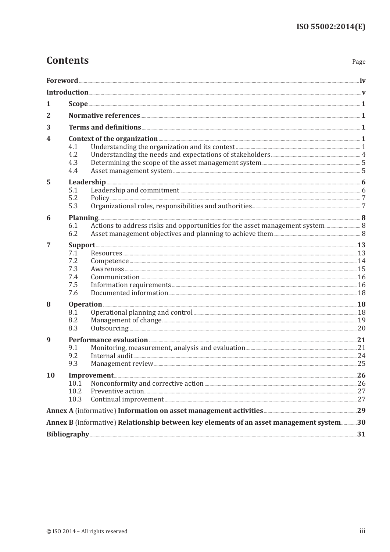# **Contents**

| 1  |                                                                                                                                                                                                                                                                                                                              |  |
|----|------------------------------------------------------------------------------------------------------------------------------------------------------------------------------------------------------------------------------------------------------------------------------------------------------------------------------|--|
| 2  |                                                                                                                                                                                                                                                                                                                              |  |
| 3  |                                                                                                                                                                                                                                                                                                                              |  |
| 4  | 4.1<br>4.2<br>4.3<br>4.4                                                                                                                                                                                                                                                                                                     |  |
| 5  | Leadership and commitment <b>Commitment</b> 2008 and 2011 120 and 2013 121 and 2014 121 and 2014 121 and 2014 121 and 2014 121 and 2014 121 and 2014 121 and 2014 121 and 2014 121 and 2014 121 and 2014 121 and 2015 121 and 2015<br>5.1<br>5.2<br>5.3                                                                      |  |
| 6  | Planning 30 and 30 and 30 and 30 and 30 and 30 and 30 and 30 and 30 and 30 and 30 and 30 and 30 and 30 and 30 and 30 and 30 and 30 and 30 and 30 and 30 and 30 and 30 and 30 and 30 and 30 and 30 and 30 and 30 and 30 and 30<br>Actions to address risks and opportunities for the asset management system  8<br>6.1<br>6.2 |  |
| 7  | Support 23<br>7.1<br>Competence <b>Competence</b> 24<br>7.2<br>7.3<br>7.4<br>7.5<br>7.6                                                                                                                                                                                                                                      |  |
| 8  | Operation 28<br>8.1<br>8.2<br>8.3                                                                                                                                                                                                                                                                                            |  |
| 9  | Performance evaluation <b>Execution</b> 21<br>9.1<br>9.2<br>9.3                                                                                                                                                                                                                                                              |  |
| 10 | 10.1<br>10.2<br>10.3                                                                                                                                                                                                                                                                                                         |  |
|    | Annex A (informative) Information on asset management activities <b>manually 19</b> 29                                                                                                                                                                                                                                       |  |
|    | Annex B (informative) Relationship between key elements of an asset management system30                                                                                                                                                                                                                                      |  |
|    |                                                                                                                                                                                                                                                                                                                              |  |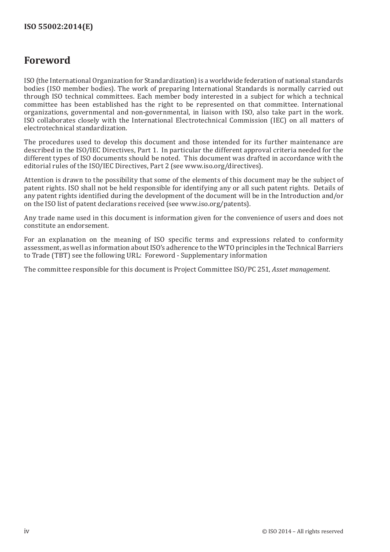#### **Foreword**

ISO (the International Organization for Standardization) is a worldwide federation of national standards bodies (ISO member bodies). The work of preparing International Standards is normally carried out through ISO technical committees. Each member body interested in a subject for which a technical committee has been established has the right to be represented on that committee. International organizations, governmental and non-governmental, in liaison with ISO, also take part in the work. ISO collaborates closely with the International Electrotechnical Commission (IEC) on all matters of electrotechnical standardization.

The procedures used to develop this document and those intended for its further maintenance are described in the ISO/IEC Directives, Part 1. In particular the different approval criteria needed for the different types of ISO documents should be noted. This document was drafted in accordance with the editorial rules of the ISO/IEC Directives, Part 2 (see [www.iso.org/directives\)](http://www.iso.org/directives).

Attention is drawn to the possibility that some of the elements of this document may be the subject of patent rights. ISO shall not be held responsible for identifying any or all such patent rights. Details of any patent rights identified during the development of the document will be in the Introduction and/or on the ISO list of patent declarations received (see [www.iso.org/patents](http://www.iso.org/patents)).

Any trade name used in this document is information given for the convenience of users and does not constitute an endorsement.

For an explanation on the meaning of ISO specific terms and expressions related to conformity assessment, as well as information about ISO's adherence to the WTO principles in the Technical Barriers to Trade (TBT) see the following URL: [Foreword - Supplementary information](http://www.iso.org/iso/home/standards_development/resources-for-technical-work/foreword.htm)

The committee responsible for this document is Project Committee ISO/PC 251, *Asset management*.